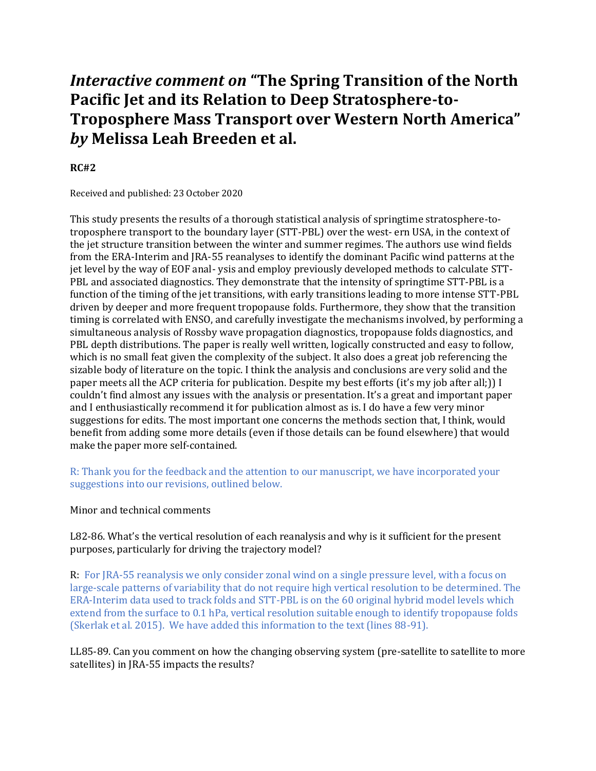# *Interactive comment on* **"The Spring Transition of the North Pacific Jet and its Relation to Deep Stratosphere-to-Troposphere Mass Transport over Western North America"**  *by* **Melissa Leah Breeden et al.**

## **RC#2**

Received and published: 23 October 2020

This study presents the results of a thorough statistical analysis of springtime stratosphere-totroposphere transport to the boundary layer (STT-PBL) over the west- ern USA, in the context of the jet structure transition between the winter and summer regimes. The authors use wind fields from the ERA-Interim and JRA-55 reanalyses to identify the dominant Pacific wind patterns at the jet level by the way of EOF anal- ysis and employ previously developed methods to calculate STT-PBL and associated diagnostics. They demonstrate that the intensity of springtime STT-PBL is a function of the timing of the jet transitions, with early transitions leading to more intense STT-PBL driven by deeper and more frequent tropopause folds. Furthermore, they show that the transition timing is correlated with ENSO, and carefully investigate the mechanisms involved, by performing a simultaneous analysis of Rossby wave propagation diagnostics, tropopause folds diagnostics, and PBL depth distributions. The paper is really well written, logically constructed and easy to follow, which is no small feat given the complexity of the subject. It also does a great job referencing the sizable body of literature on the topic. I think the analysis and conclusions are very solid and the paper meets all the ACP criteria for publication. Despite my best efforts (it's my job after all;)) I couldn't find almost any issues with the analysis or presentation. It's a great and important paper and I enthusiastically recommend it for publication almost as is. I do have a few very minor suggestions for edits. The most important one concerns the methods section that, I think, would benefit from adding some more details (even if those details can be found elsewhere) that would make the paper more self-contained.

R: Thank you for the feedback and the attention to our manuscript, we have incorporated your suggestions into our revisions, outlined below.

### Minor and technical comments

L82-86. What's the vertical resolution of each reanalysis and why is it sufficient for the present purposes, particularly for driving the trajectory model?

R: For JRA-55 reanalysis we only consider zonal wind on a single pressure level, with a focus on large-scale patterns of variability that do not require high vertical resolution to be determined. The ERA-Interim data used to track folds and STT-PBL is on the 60 original hybrid model levels which extend from the surface to 0.1 hPa, vertical resolution suitable enough to identify tropopause folds (Skerlak et al. 2015). We have added this information to the text (lines 88-91).

LL85-89. Can you comment on how the changing observing system (pre-satellite to satellite to more satellites) in JRA-55 impacts the results?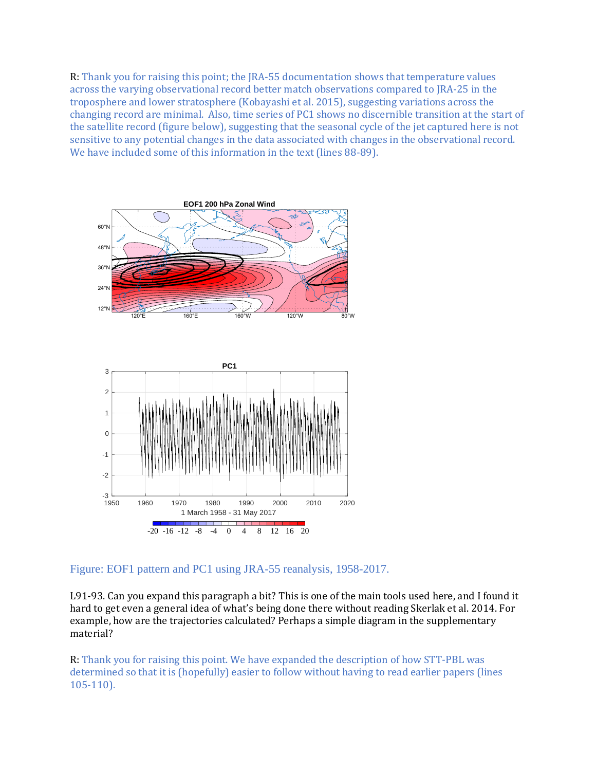R: Thank you for raising this point; the JRA-55 documentation shows that temperature values across the varying observational record better match observations compared to JRA-25 in the troposphere and lower stratosphere (Kobayashi et al. 2015), suggesting variations across the changing record are minimal. Also, time series of PC1 shows no discernible transition at the start of the satellite record (figure below), suggesting that the seasonal cycle of the jet captured here is not sensitive to any potential changes in the data associated with changes in the observational record. We have included some of this information in the text (lines 88-89).





Figure: EOF1 pattern and PC1 using JRA-55 reanalysis, 1958-2017.

L91-93. Can you expand this paragraph a bit? This is one of the main tools used here, and I found it hard to get even a general idea of what's being done there without reading Skerlak et al. 2014. For example, how are the trajectories calculated? Perhaps a simple diagram in the supplementary material?

R: Thank you for raising this point. We have expanded the description of how STT-PBL was determined so that it is (hopefully) easier to follow without having to read earlier papers (lines 105-110).